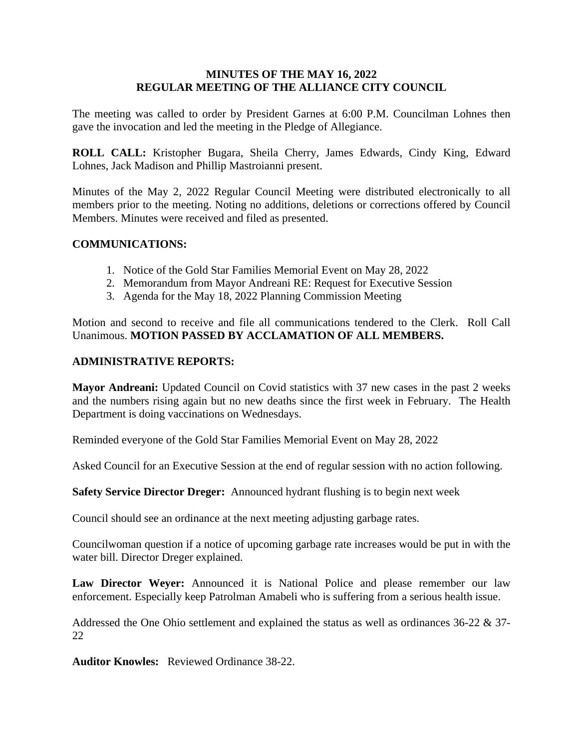#### **MINUTES OF THE MAY 16, 2022 REGULAR MEETING OF THE ALLIANCE CITY COUNCIL**

The meeting was called to order by President Garnes at 6:00 P.M. Councilman Lohnes then gave the invocation and led the meeting in the Pledge of Allegiance.

**ROLL CALL:** Kristopher Bugara, Sheila Cherry, James Edwards, Cindy King, Edward Lohnes, Jack Madison and Phillip Mastroianni present.

Minutes of the May 2, 2022 Regular Council Meeting were distributed electronically to all members prior to the meeting. Noting no additions, deletions or corrections offered by Council Members. Minutes were received and filed as presented.

## **COMMUNICATIONS:**

- 1. Notice of the Gold Star Families Memorial Event on May 28, 2022
- 2. Memorandum from Mayor Andreani RE: Request for Executive Session
- 3. Agenda for the May 18, 2022 Planning Commission Meeting

Motion and second to receive and file all communications tendered to the Clerk. Roll Call Unanimous. **MOTION PASSED BY ACCLAMATION OF ALL MEMBERS.**

## **ADMINISTRATIVE REPORTS:**

**Mayor Andreani:** Updated Council on Covid statistics with 37 new cases in the past 2 weeks and the numbers rising again but no new deaths since the first week in February. The Health Department is doing vaccinations on Wednesdays.

Reminded everyone of the Gold Star Families Memorial Event on May 28, 2022

Asked Council for an Executive Session at the end of regular session with no action following.

**Safety Service Director Dreger:** Announced hydrant flushing is to begin next week

Council should see an ordinance at the next meeting adjusting garbage rates.

Councilwoman question if a notice of upcoming garbage rate increases would be put in with the water bill. Director Dreger explained.

**Law Director Weyer:** Announced it is National Police and please remember our law enforcement. Especially keep Patrolman Amabeli who is suffering from a serious health issue.

Addressed the One Ohio settlement and explained the status as well as ordinances 36-22 & 37- 22

**Auditor Knowles:** Reviewed Ordinance 38-22.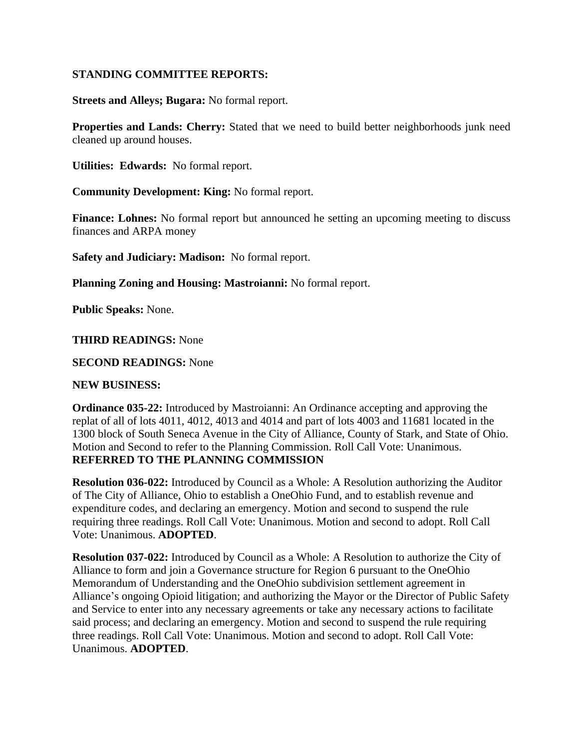## **STANDING COMMITTEE REPORTS:**

**Streets and Alleys; Bugara:** No formal report.

**Properties and Lands: Cherry:** Stated that we need to build better neighborhoods junk need cleaned up around houses.

**Utilities: Edwards:** No formal report.

**Community Development: King:** No formal report.

**Finance: Lohnes:** No formal report but announced he setting an upcoming meeting to discuss finances and ARPA money

**Safety and Judiciary: Madison:** No formal report.

**Planning Zoning and Housing: Mastroianni:** No formal report.

**Public Speaks:** None.

#### **THIRD READINGS:** None

**SECOND READINGS:** None

#### **NEW BUSINESS:**

**Ordinance 035-22:** Introduced by Mastroianni: An Ordinance accepting and approving the replat of all of lots 4011, 4012, 4013 and 4014 and part of lots 4003 and 11681 located in the 1300 block of South Seneca Avenue in the City of Alliance, County of Stark, and State of Ohio. Motion and Second to refer to the Planning Commission. Roll Call Vote: Unanimous. **REFERRED TO THE PLANNING COMMISSION**

**Resolution 036-022:** Introduced by Council as a Whole: A Resolution authorizing the Auditor of The City of Alliance, Ohio to establish a OneOhio Fund, and to establish revenue and expenditure codes, and declaring an emergency. Motion and second to suspend the rule requiring three readings. Roll Call Vote: Unanimous. Motion and second to adopt. Roll Call Vote: Unanimous. **ADOPTED**.

**Resolution 037-022:** Introduced by Council as a Whole: A Resolution to authorize the City of Alliance to form and join a Governance structure for Region 6 pursuant to the OneOhio Memorandum of Understanding and the OneOhio subdivision settlement agreement in Alliance's ongoing Opioid litigation; and authorizing the Mayor or the Director of Public Safety and Service to enter into any necessary agreements or take any necessary actions to facilitate said process; and declaring an emergency. Motion and second to suspend the rule requiring three readings. Roll Call Vote: Unanimous. Motion and second to adopt. Roll Call Vote: Unanimous. **ADOPTED**.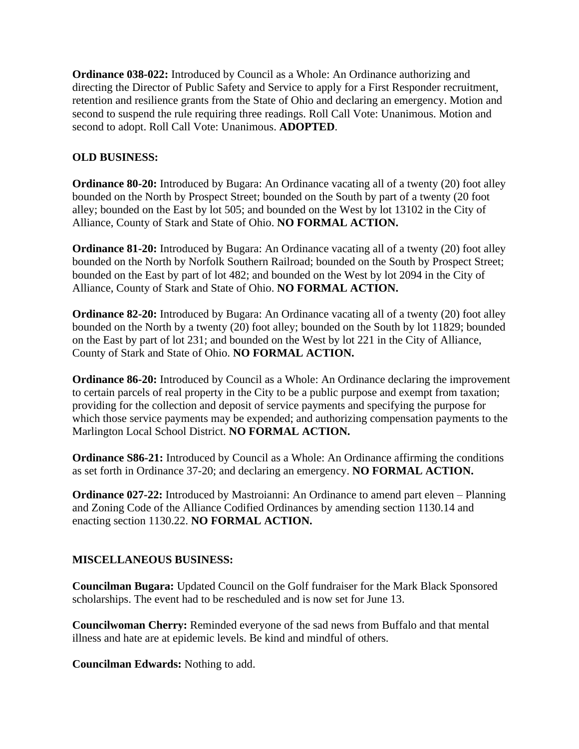**Ordinance 038-022:** Introduced by Council as a Whole: An Ordinance authorizing and directing the Director of Public Safety and Service to apply for a First Responder recruitment, retention and resilience grants from the State of Ohio and declaring an emergency. Motion and second to suspend the rule requiring three readings. Roll Call Vote: Unanimous. Motion and second to adopt. Roll Call Vote: Unanimous. **ADOPTED**.

## **OLD BUSINESS:**

**Ordinance 80-20:** Introduced by Bugara: An Ordinance vacating all of a twenty (20) foot alley bounded on the North by Prospect Street; bounded on the South by part of a twenty (20 foot alley; bounded on the East by lot 505; and bounded on the West by lot 13102 in the City of Alliance, County of Stark and State of Ohio. **NO FORMAL ACTION.**

**Ordinance 81-20:** Introduced by Bugara: An Ordinance vacating all of a twenty (20) foot alley bounded on the North by Norfolk Southern Railroad; bounded on the South by Prospect Street; bounded on the East by part of lot 482; and bounded on the West by lot 2094 in the City of Alliance, County of Stark and State of Ohio. **NO FORMAL ACTION.**

**Ordinance 82-20:** Introduced by Bugara: An Ordinance vacating all of a twenty (20) foot alley bounded on the North by a twenty (20) foot alley; bounded on the South by lot 11829; bounded on the East by part of lot 231; and bounded on the West by lot 221 in the City of Alliance, County of Stark and State of Ohio. **NO FORMAL ACTION.**

**Ordinance 86-20:** Introduced by Council as a Whole: An Ordinance declaring the improvement to certain parcels of real property in the City to be a public purpose and exempt from taxation; providing for the collection and deposit of service payments and specifying the purpose for which those service payments may be expended; and authorizing compensation payments to the Marlington Local School District. **NO FORMAL ACTION.**

**Ordinance S86-21:** Introduced by Council as a Whole: An Ordinance affirming the conditions as set forth in Ordinance 37-20; and declaring an emergency. **NO FORMAL ACTION.**

**Ordinance 027-22:** Introduced by Mastroianni: An Ordinance to amend part eleven – Planning and Zoning Code of the Alliance Codified Ordinances by amending section 1130.14 and enacting section 1130.22. **NO FORMAL ACTION.**

## **MISCELLANEOUS BUSINESS:**

**Councilman Bugara:** Updated Council on the Golf fundraiser for the Mark Black Sponsored scholarships. The event had to be rescheduled and is now set for June 13.

**Councilwoman Cherry:** Reminded everyone of the sad news from Buffalo and that mental illness and hate are at epidemic levels. Be kind and mindful of others.

**Councilman Edwards:** Nothing to add.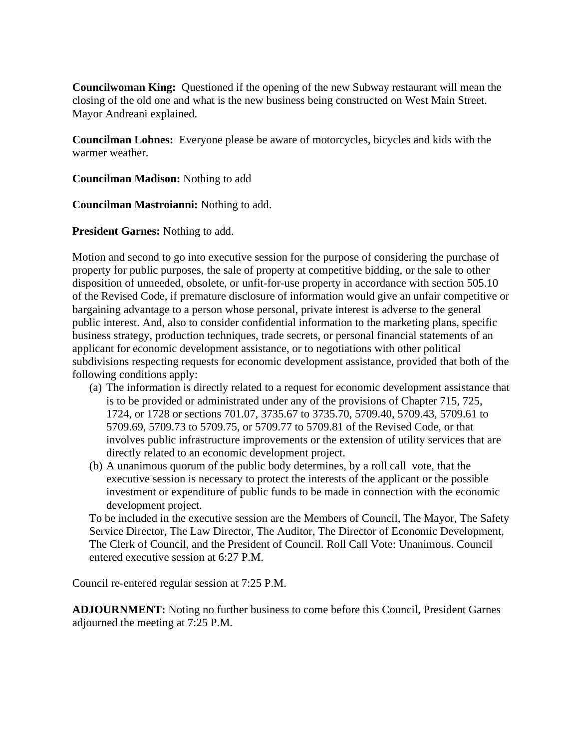**Councilwoman King:** Questioned if the opening of the new Subway restaurant will mean the closing of the old one and what is the new business being constructed on West Main Street. Mayor Andreani explained.

**Councilman Lohnes:** Everyone please be aware of motorcycles, bicycles and kids with the warmer weather.

**Councilman Madison:** Nothing to add

**Councilman Mastroianni:** Nothing to add.

**President Garnes:** Nothing to add.

Motion and second to go into executive session for the purpose of considering the purchase of property for public purposes, the sale of property at competitive bidding, or the sale to other disposition of unneeded, obsolete, or unfit-for-use property in accordance with section 505.10 of the Revised Code, if premature disclosure of information would give an unfair competitive or bargaining advantage to a person whose personal, private interest is adverse to the general public interest. And, also to consider confidential information to the marketing plans, specific business strategy, production techniques, trade secrets, or personal financial statements of an applicant for economic development assistance, or to negotiations with other political subdivisions respecting requests for economic development assistance, provided that both of the following conditions apply:

- (a) The information is directly related to a request for economic development assistance that is to be provided or administrated under any of the provisions of Chapter 715, 725, 1724, or 1728 or sections 701.07, 3735.67 to 3735.70, 5709.40, 5709.43, 5709.61 to 5709.69, 5709.73 to 5709.75, or 5709.77 to 5709.81 of the Revised Code, or that involves public infrastructure improvements or the extension of utility services that are directly related to an economic development project.
- (b) A unanimous quorum of the public body determines, by a roll call vote, that the executive session is necessary to protect the interests of the applicant or the possible investment or expenditure of public funds to be made in connection with the economic development project.

To be included in the executive session are the Members of Council, The Mayor, The Safety Service Director, The Law Director, The Auditor, The Director of Economic Development, The Clerk of Council, and the President of Council. Roll Call Vote: Unanimous. Council entered executive session at 6:27 P.M.

Council re-entered regular session at 7:25 P.M.

**ADJOURNMENT:** Noting no further business to come before this Council, President Garnes adjourned the meeting at 7:25 P.M.